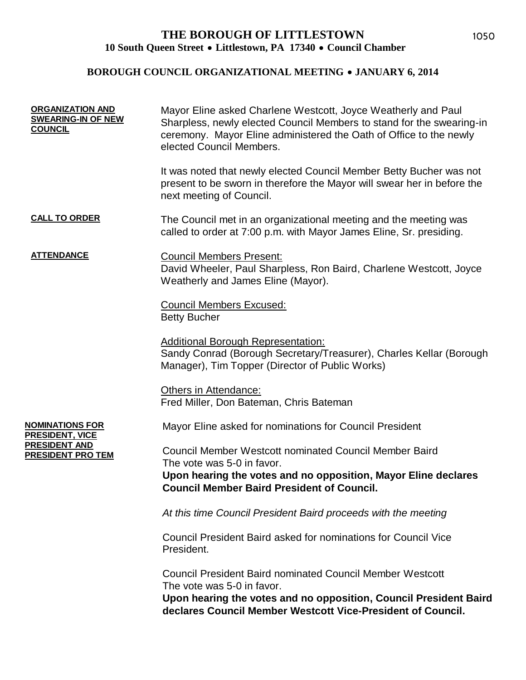## **BOROUGH COUNCIL ORGANIZATIONAL MEETING • JANUARY 6, 2014**

| <b>ORGANIZATION AND</b><br><b>SWEARING-IN OF NEW</b><br><b>COUNCIL</b>                        | Mayor Eline asked Charlene Westcott, Joyce Weatherly and Paul<br>Sharpless, newly elected Council Members to stand for the swearing-in<br>ceremony. Mayor Eline administered the Oath of Office to the newly<br>elected Council Members. |
|-----------------------------------------------------------------------------------------------|------------------------------------------------------------------------------------------------------------------------------------------------------------------------------------------------------------------------------------------|
|                                                                                               | It was noted that newly elected Council Member Betty Bucher was not<br>present to be sworn in therefore the Mayor will swear her in before the<br>next meeting of Council.                                                               |
| <b>CALL TO ORDER</b>                                                                          | The Council met in an organizational meeting and the meeting was<br>called to order at 7:00 p.m. with Mayor James Eline, Sr. presiding.                                                                                                  |
| <b>ATTENDANCE</b>                                                                             | <b>Council Members Present:</b><br>David Wheeler, Paul Sharpless, Ron Baird, Charlene Westcott, Joyce<br>Weatherly and James Eline (Mayor).                                                                                              |
|                                                                                               | <b>Council Members Excused:</b><br><b>Betty Bucher</b>                                                                                                                                                                                   |
|                                                                                               | <b>Additional Borough Representation:</b><br>Sandy Conrad (Borough Secretary/Treasurer), Charles Kellar (Borough<br>Manager), Tim Topper (Director of Public Works)                                                                      |
|                                                                                               | Others in Attendance:<br>Fred Miller, Don Bateman, Chris Bateman                                                                                                                                                                         |
| NOMINATIONS FOR<br><u>PRESIDENT, VICE</u><br><u>PRESIDENT AND</u><br><u>PRESIDENT PRO TEM</u> | Mayor Eline asked for nominations for Council President                                                                                                                                                                                  |
|                                                                                               | <b>Council Member Westcott nominated Council Member Baird</b><br>The vote was 5-0 in favor.                                                                                                                                              |
|                                                                                               | Upon hearing the votes and no opposition, Mayor Eline declares<br><b>Council Member Baird President of Council.</b>                                                                                                                      |
|                                                                                               | At this time Council President Baird proceeds with the meeting                                                                                                                                                                           |
|                                                                                               | Council President Baird asked for nominations for Council Vice<br>President.                                                                                                                                                             |
|                                                                                               | <b>Council President Baird nominated Council Member Westcott</b><br>The vote was 5-0 in favor.<br>Upon hearing the votes and no opposition, Council President Baird<br>declares Council Member Westcott Vice-President of Council.       |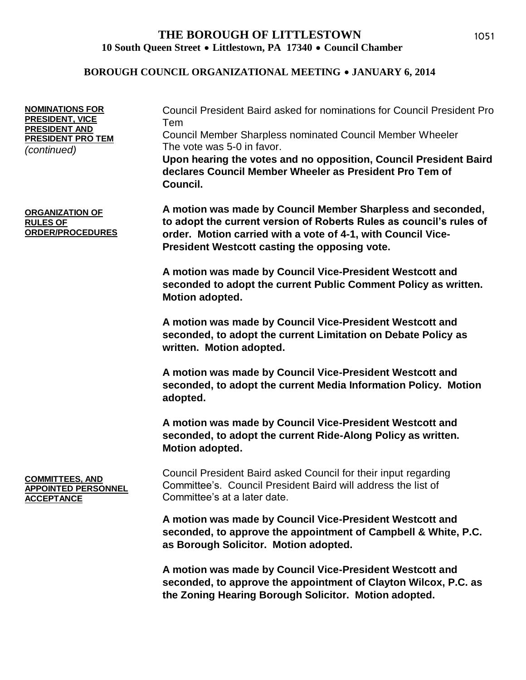#### **BOROUGH COUNCIL ORGANIZATIONAL MEETING • JANUARY 6, 2014**

| <b>NOMINATIONS FOR</b><br>PRESIDENT, VICE<br><b>PRESIDENT AND</b><br><b>PRESIDENT PRO TEM</b><br>(continued) | Council President Baird asked for nominations for Council President Pro<br>Tem<br><b>Council Member Sharpless nominated Council Member Wheeler</b><br>The vote was 5-0 in favor.<br>Upon hearing the votes and no opposition, Council President Baird<br>declares Council Member Wheeler as President Pro Tem of<br>Council. |
|--------------------------------------------------------------------------------------------------------------|------------------------------------------------------------------------------------------------------------------------------------------------------------------------------------------------------------------------------------------------------------------------------------------------------------------------------|
| <b>ORGANIZATION OF</b><br><b>RULES OF</b><br><b>ORDER/PROCEDURES</b>                                         | A motion was made by Council Member Sharpless and seconded,<br>to adopt the current version of Roberts Rules as council's rules of<br>order. Motion carried with a vote of 4-1, with Council Vice-<br>President Westcott casting the opposing vote.                                                                          |
|                                                                                                              | A motion was made by Council Vice-President Westcott and<br>seconded to adopt the current Public Comment Policy as written.<br>Motion adopted.                                                                                                                                                                               |
|                                                                                                              | A motion was made by Council Vice-President Westcott and<br>seconded, to adopt the current Limitation on Debate Policy as<br>written. Motion adopted.                                                                                                                                                                        |
|                                                                                                              | A motion was made by Council Vice-President Westcott and<br>seconded, to adopt the current Media Information Policy. Motion<br>adopted.                                                                                                                                                                                      |
|                                                                                                              | A motion was made by Council Vice-President Westcott and<br>seconded, to adopt the current Ride-Along Policy as written.<br>Motion adopted.                                                                                                                                                                                  |
| <b>COMMITTEES, AND</b><br><b>APPOINTED PERSONNEL</b><br><b>ACCEPTANCE</b>                                    | Council President Baird asked Council for their input regarding<br>Committee's. Council President Baird will address the list of<br>Committee's at a later date.                                                                                                                                                             |
|                                                                                                              | A motion was made by Council Vice-President Westcott and<br>seconded, to approve the appointment of Campbell & White, P.C.<br>as Borough Solicitor. Motion adopted.                                                                                                                                                          |

**A motion was made by Council Vice-President Westcott and seconded, to approve the appointment of Clayton Wilcox, P.C. as the Zoning Hearing Borough Solicitor. Motion adopted.**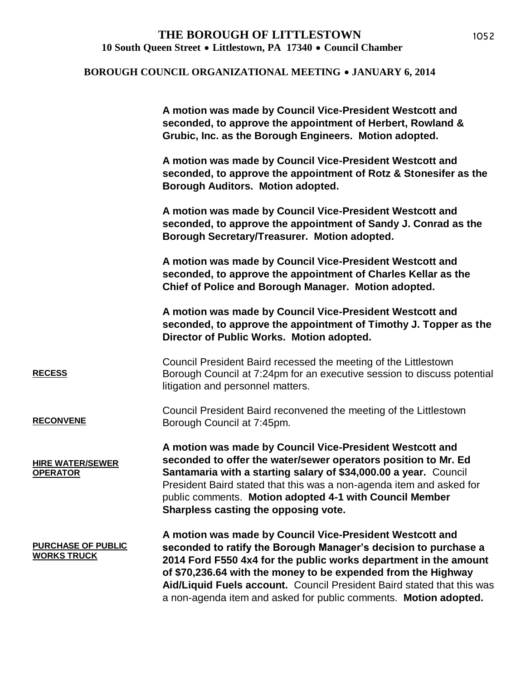#### **BOROUGH COUNCIL ORGANIZATIONAL MEETING • JANUARY 6, 2014**

|                                                 | A motion was made by Council Vice-President Westcott and<br>seconded, to approve the appointment of Herbert, Rowland &<br>Grubic, Inc. as the Borough Engineers. Motion adopted.                                                                                                                                                                                                                               |
|-------------------------------------------------|----------------------------------------------------------------------------------------------------------------------------------------------------------------------------------------------------------------------------------------------------------------------------------------------------------------------------------------------------------------------------------------------------------------|
|                                                 | A motion was made by Council Vice-President Westcott and<br>seconded, to approve the appointment of Rotz & Stonesifer as the<br>Borough Auditors. Motion adopted.                                                                                                                                                                                                                                              |
|                                                 | A motion was made by Council Vice-President Westcott and<br>seconded, to approve the appointment of Sandy J. Conrad as the<br>Borough Secretary/Treasurer. Motion adopted.                                                                                                                                                                                                                                     |
|                                                 | A motion was made by Council Vice-President Westcott and<br>seconded, to approve the appointment of Charles Kellar as the<br>Chief of Police and Borough Manager. Motion adopted.                                                                                                                                                                                                                              |
|                                                 | A motion was made by Council Vice-President Westcott and<br>seconded, to approve the appointment of Timothy J. Topper as the<br>Director of Public Works. Motion adopted.                                                                                                                                                                                                                                      |
| <b>RECESS</b>                                   | Council President Baird recessed the meeting of the Littlestown<br>Borough Council at 7:24pm for an executive session to discuss potential<br>litigation and personnel matters.                                                                                                                                                                                                                                |
| <b>RECONVENE</b>                                | Council President Baird reconvened the meeting of the Littlestown<br>Borough Council at 7:45pm.                                                                                                                                                                                                                                                                                                                |
| <b>HIRE WATER/SEWER</b><br><b>OPERATOR</b>      | A motion was made by Council Vice-President Westcott and<br>seconded to offer the water/sewer operators position to Mr. Ed<br>Santamaria with a starting salary of \$34,000.00 a year. Council<br>President Baird stated that this was a non-agenda item and asked for<br>public comments. Motion adopted 4-1 with Council Member<br>Sharpless casting the opposing vote.                                      |
| <b>PURCHASE OF PUBLIC</b><br><b>WORKS TRUCK</b> | A motion was made by Council Vice-President Westcott and<br>seconded to ratify the Borough Manager's decision to purchase a<br>2014 Ford F550 4x4 for the public works department in the amount<br>of \$70,236.64 with the money to be expended from the Highway<br>Aid/Liquid Fuels account. Council President Baird stated that this was<br>a non-agenda item and asked for public comments. Motion adopted. |